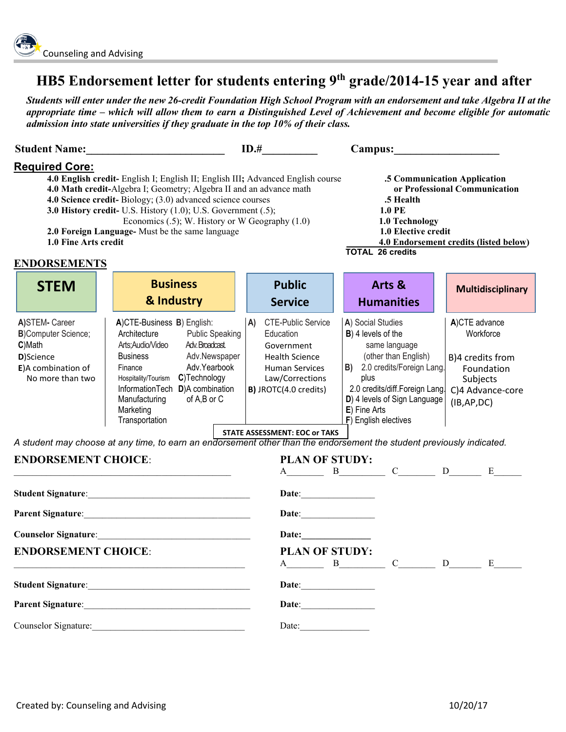## **HB5 Endorsement letter for students entering 9th grade/2014-15 year and after**

*Students will enter under the new 26-credit Foundation High School Program with an endorsement and take Algebra II at the appropriate time – which will allow them to earn a Distinguished Level of Achievement and become eligible for automatic admission into state universities if they graduate in the top 10% of their class.*

|                                                                                                                                                                                                                                                                                                                                                                                                                                                                     |                                                                                                                                                                                                                                                                                                                      | ID.#                                                                                                                                                                                                      | Campus:                                                                                                                                                                                                                            |                                                                                                              |
|---------------------------------------------------------------------------------------------------------------------------------------------------------------------------------------------------------------------------------------------------------------------------------------------------------------------------------------------------------------------------------------------------------------------------------------------------------------------|----------------------------------------------------------------------------------------------------------------------------------------------------------------------------------------------------------------------------------------------------------------------------------------------------------------------|-----------------------------------------------------------------------------------------------------------------------------------------------------------------------------------------------------------|------------------------------------------------------------------------------------------------------------------------------------------------------------------------------------------------------------------------------------|--------------------------------------------------------------------------------------------------------------|
| <b>Required Core:</b><br>4.0 English credit- English I; English II; English III; Advanced English course<br>4.0 Math credit-Algebra I; Geometry; Algebra II and an advance math<br>4.0 Science credit-Biology; (3.0) advanced science courses<br>3.0 History credit- U.S. History (1.0); U.S. Government (.5);<br>Economics (.5); W. History or W Geography (1.0)<br>2.0 Foreign Language- Must be the same language<br>1.0 Fine Arts credit<br><b>ENDORSEMENTS</b> |                                                                                                                                                                                                                                                                                                                      | .5 Communication Application<br>or Professional Communication<br>.5 Health<br><b>1.0 PE</b><br>1.0 Technology<br>1.0 Elective credit<br>4.0 Endorsement credits (listed below)<br><b>TOTAL 26 credits</b> |                                                                                                                                                                                                                                    |                                                                                                              |
| <b>STEM</b>                                                                                                                                                                                                                                                                                                                                                                                                                                                         | <b>Business</b>                                                                                                                                                                                                                                                                                                      | <b>Public</b>                                                                                                                                                                                             | Arts &                                                                                                                                                                                                                             | <b>Multidisciplinary</b>                                                                                     |
|                                                                                                                                                                                                                                                                                                                                                                                                                                                                     | & Industry                                                                                                                                                                                                                                                                                                           | <b>Service</b>                                                                                                                                                                                            | <b>Humanities</b>                                                                                                                                                                                                                  |                                                                                                              |
| A)STEM- Career<br><b>B)Computer Science;</b><br>C)Math<br>D)Science<br>E)A combination of<br>No more than two                                                                                                                                                                                                                                                                                                                                                       | A)CTE-Business B) English:<br>Architecture<br><b>Public Speaking</b><br>Adv. Broadcast.<br>Arts; Audio/Video<br><b>Business</b><br>Adv.Newspaper<br>Adv.Yearbook<br>Finance<br>C)Technology<br>Hospitality/Tourism<br>InformationTech D)A combination<br>of A,B or C<br>Manufacturing<br>Marketing<br>Transportation | <b>CTE-Public Service</b><br>A)<br>Education<br>Government<br><b>Health Science</b><br><b>Human Services</b><br>Law/Corrections<br>B) JROTC(4.0 credits)                                                  | A) Social Studies<br>B) 4 levels of the<br>same language<br>(other than English)<br>B) 2.0 credits/Foreign Lang.<br>plus<br>2.0 credits/diff.Foreign Lang.<br>D) 4 levels of Sign Language<br>E) Fine Arts<br>F) English electives | A)CTE advance<br>Workforce<br>B)4 credits from<br>Foundation<br>Subjects<br>C)4 Advance-core<br>(IB, AP, DC) |
|                                                                                                                                                                                                                                                                                                                                                                                                                                                                     | A student may choose at any time, to earn an endorsement other than the endorsement the student previously indicated.                                                                                                                                                                                                | <b>STATE ASSESSMENT: EOC or TAKS</b>                                                                                                                                                                      |                                                                                                                                                                                                                                    |                                                                                                              |
| <b>ENDORSEMENT CHOICE:</b><br>the control of the control of the control of the control of the control of                                                                                                                                                                                                                                                                                                                                                            |                                                                                                                                                                                                                                                                                                                      | <b>PLAN OF STUDY:</b>                                                                                                                                                                                     | $A$ B $C$ D $E$                                                                                                                                                                                                                    |                                                                                                              |
|                                                                                                                                                                                                                                                                                                                                                                                                                                                                     |                                                                                                                                                                                                                                                                                                                      |                                                                                                                                                                                                           |                                                                                                                                                                                                                                    |                                                                                                              |
| Parent Signature: 1988 and 1989 and 1989 and 1989 and 1989 and 1989 and 1989 and 1989 and 1989 and 1989 and 19                                                                                                                                                                                                                                                                                                                                                      |                                                                                                                                                                                                                                                                                                                      | Date:                                                                                                                                                                                                     |                                                                                                                                                                                                                                    |                                                                                                              |
| <b>Counselor Signature:</b>                                                                                                                                                                                                                                                                                                                                                                                                                                         |                                                                                                                                                                                                                                                                                                                      | Date:                                                                                                                                                                                                     |                                                                                                                                                                                                                                    |                                                                                                              |
| <b>ENDORSEMENT CHOICE:</b>                                                                                                                                                                                                                                                                                                                                                                                                                                          |                                                                                                                                                                                                                                                                                                                      | <b>PLAN OF STUDY:</b><br>$\mathbf{A}$                                                                                                                                                                     | $C_{\underline{\hspace{2cm}}\underline{\hspace{2cm}}}$<br>$\mathbf{B}$                                                                                                                                                             | $D \t E$                                                                                                     |
|                                                                                                                                                                                                                                                                                                                                                                                                                                                                     |                                                                                                                                                                                                                                                                                                                      |                                                                                                                                                                                                           |                                                                                                                                                                                                                                    |                                                                                                              |
| <b>Parent Signature:</b><br><u> 1980 - Johann Barn, mars ann an t-Amhain Aonaich an t-Amhain Aonaich an t-Amhain Aonaich an t-Amhain Aonaich</u>                                                                                                                                                                                                                                                                                                                    |                                                                                                                                                                                                                                                                                                                      |                                                                                                                                                                                                           |                                                                                                                                                                                                                                    |                                                                                                              |
| Counselor Signature:                                                                                                                                                                                                                                                                                                                                                                                                                                                |                                                                                                                                                                                                                                                                                                                      | Date: $\qquad \qquad$                                                                                                                                                                                     |                                                                                                                                                                                                                                    |                                                                                                              |